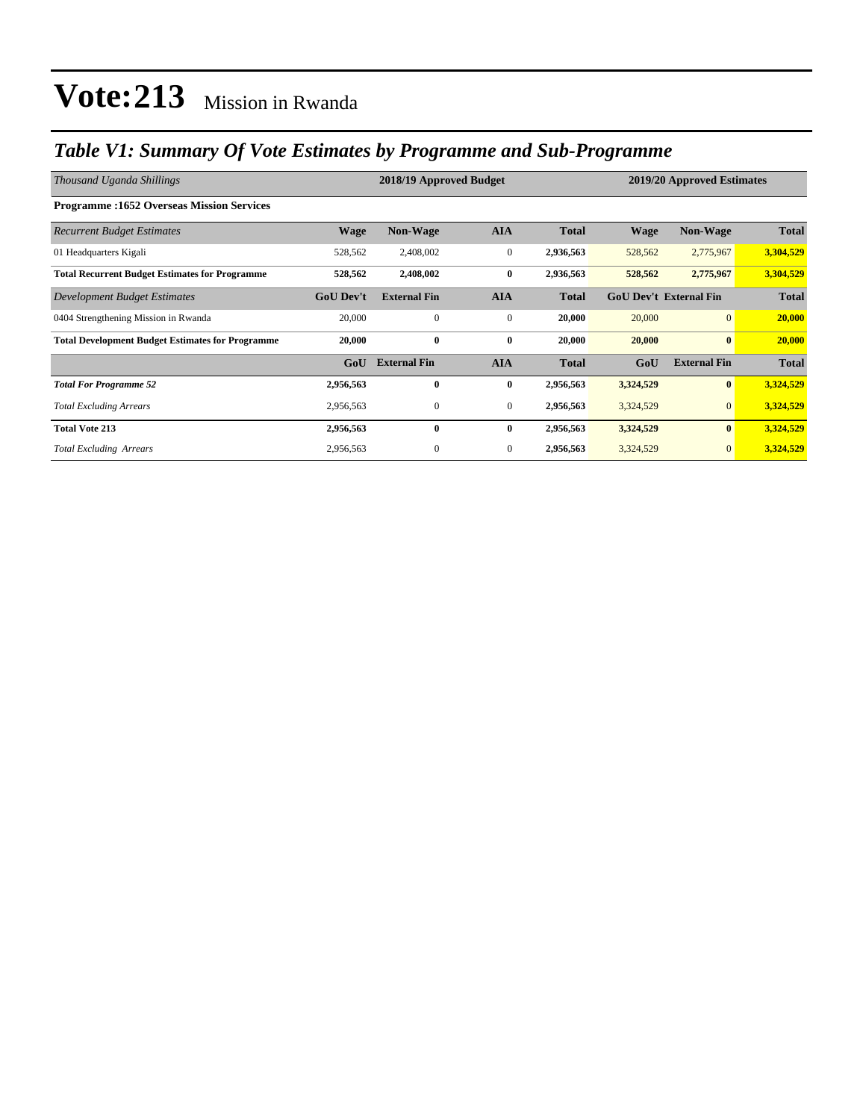### *Table V1: Summary Of Vote Estimates by Programme and Sub-Programme*

| Thousand Uganda Shillings                               |                  | 2018/19 Approved Budget |              | 2019/20 Approved Estimates |                               |                     |              |
|---------------------------------------------------------|------------------|-------------------------|--------------|----------------------------|-------------------------------|---------------------|--------------|
| <b>Programme:1652 Overseas Mission Services</b>         |                  |                         |              |                            |                               |                     |              |
| <b>Recurrent Budget Estimates</b>                       | <b>Wage</b>      | Non-Wage                | <b>AIA</b>   | <b>Total</b>               | <b>Wage</b>                   | Non-Wage            | <b>Total</b> |
| 01 Headquarters Kigali                                  | 528,562          | 2,408,002               | $\mathbf{0}$ | 2,936,563                  | 528,562                       | 2,775,967           | 3,304,529    |
| <b>Total Recurrent Budget Estimates for Programme</b>   | 528,562          | 2,408,002               | $\bf{0}$     | 2,936,563                  | 528,562                       | 2,775,967           | 3,304,529    |
| Development Budget Estimates                            | <b>GoU Dev't</b> | <b>External Fin</b>     | <b>AIA</b>   | <b>Total</b>               | <b>GoU Dev't External Fin</b> |                     | <b>Total</b> |
| 0404 Strengthening Mission in Rwanda                    | 20,000           | $\mathbf{0}$            | $\mathbf{0}$ | 20,000                     | 20,000                        | $\overline{0}$      | 20,000       |
| <b>Total Development Budget Estimates for Programme</b> | 20,000           | $\bf{0}$                | $\bf{0}$     | 20,000                     | 20,000                        | $\bf{0}$            | 20,000       |
|                                                         | GoU              | <b>External Fin</b>     | <b>AIA</b>   | <b>Total</b>               | GoU                           | <b>External Fin</b> | <b>Total</b> |
| <b>Total For Programme 52</b>                           | 2,956,563        | $\bf{0}$                | $\bf{0}$     | 2,956,563                  | 3,324,529                     | $\bf{0}$            | 3,324,529    |
| <b>Total Excluding Arrears</b>                          | 2,956,563        | $\boldsymbol{0}$        | $\mathbf{0}$ | 2,956,563                  | 3,324,529                     | $\mathbf{0}$        | 3,324,529    |
| <b>Total Vote 213</b>                                   | 2,956,563        | $\bf{0}$                | $\bf{0}$     | 2,956,563                  | 3,324,529                     | $\bf{0}$            | 3,324,529    |
| <b>Total Excluding Arrears</b>                          | 2,956,563        | $\boldsymbol{0}$        | $\mathbf{0}$ | 2,956,563                  | 3,324,529                     | $\mathbf{0}$        | 3,324,529    |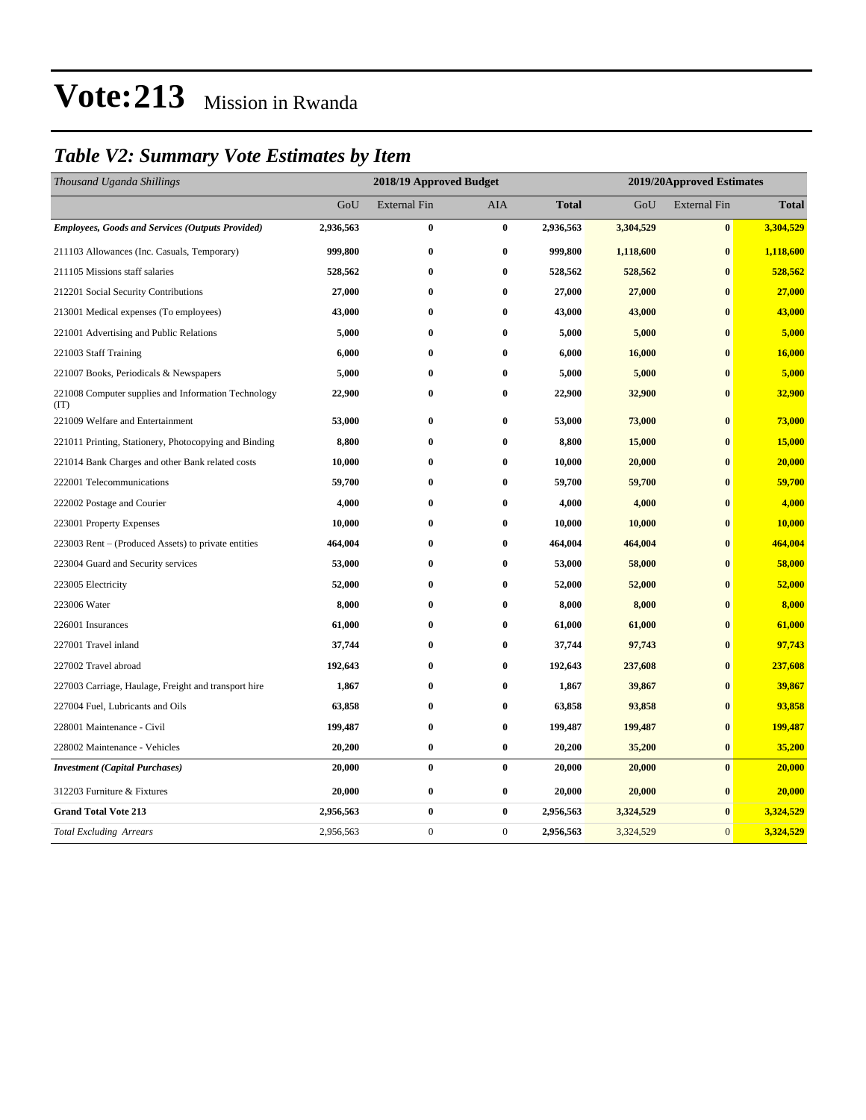### *Table V2: Summary Vote Estimates by Item*

| Thousand Uganda Shillings                                   | 2018/19 Approved Budget |                     |              |              | 2019/20Approved Estimates |                     |              |  |
|-------------------------------------------------------------|-------------------------|---------------------|--------------|--------------|---------------------------|---------------------|--------------|--|
|                                                             | GoU                     | <b>External Fin</b> | <b>AIA</b>   | <b>Total</b> | GoU                       | <b>External Fin</b> | <b>Total</b> |  |
| <b>Employees, Goods and Services (Outputs Provided)</b>     | 2,936,563               | $\bf{0}$            | $\bf{0}$     | 2,936,563    | 3,304,529                 | $\pmb{0}$           | 3,304,529    |  |
| 211103 Allowances (Inc. Casuals, Temporary)                 | 999,800                 | $\bf{0}$            | $\bf{0}$     | 999,800      | 1,118,600                 | $\bf{0}$            | 1,118,600    |  |
| 211105 Missions staff salaries                              | 528,562                 | $\bf{0}$            | $\bf{0}$     | 528,562      | 528,562                   | $\mathbf{0}$        | 528,562      |  |
| 212201 Social Security Contributions                        | 27,000                  | $\bf{0}$            | $\bf{0}$     | 27,000       | 27,000                    | $\mathbf{0}$        | 27,000       |  |
| 213001 Medical expenses (To employees)                      | 43,000                  | $\bf{0}$            | $\bf{0}$     | 43,000       | 43,000                    | $\bf{0}$            | 43,000       |  |
| 221001 Advertising and Public Relations                     | 5,000                   | $\bf{0}$            | $\bf{0}$     | 5,000        | 5,000                     | $\bf{0}$            | 5,000        |  |
| 221003 Staff Training                                       | 6,000                   | $\bf{0}$            | $\bf{0}$     | 6,000        | 16,000                    | $\mathbf{0}$        | 16,000       |  |
| 221007 Books, Periodicals & Newspapers                      | 5,000                   | $\bf{0}$            | $\bf{0}$     | 5,000        | 5,000                     | $\bf{0}$            | 5,000        |  |
| 221008 Computer supplies and Information Technology<br>(TT) | 22,900                  | $\bf{0}$            | $\bf{0}$     | 22,900       | 32,900                    | $\bf{0}$            | 32,900       |  |
| 221009 Welfare and Entertainment                            | 53,000                  | $\bf{0}$            | $\bf{0}$     | 53,000       | 73,000                    | $\bf{0}$            | 73,000       |  |
| 221011 Printing, Stationery, Photocopying and Binding       | 8,800                   | $\bf{0}$            | $\bf{0}$     | 8,800        | 15,000                    | $\bf{0}$            | 15,000       |  |
| 221014 Bank Charges and other Bank related costs            | 10,000                  | $\bf{0}$            | $\bf{0}$     | 10,000       | 20,000                    | $\bf{0}$            | 20,000       |  |
| 222001 Telecommunications                                   | 59,700                  | $\bf{0}$            | $\bf{0}$     | 59,700       | 59,700                    | $\bf{0}$            | 59,700       |  |
| 222002 Postage and Courier                                  | 4,000                   | $\bf{0}$            | $\bf{0}$     | 4,000        | 4,000                     | $\bf{0}$            | 4,000        |  |
| 223001 Property Expenses                                    | 10,000                  | $\bf{0}$            | $\bf{0}$     | 10,000       | 10,000                    | $\bf{0}$            | 10,000       |  |
| 223003 Rent – (Produced Assets) to private entities         | 464,004                 | $\bf{0}$            | $\bf{0}$     | 464,004      | 464,004                   | $\bf{0}$            | 464,004      |  |
| 223004 Guard and Security services                          | 53,000                  | 0                   | $\bf{0}$     | 53,000       | 58,000                    | $\bf{0}$            | 58,000       |  |
| 223005 Electricity                                          | 52,000                  | 0                   | $\bf{0}$     | 52,000       | 52,000                    | $\bf{0}$            | 52,000       |  |
| 223006 Water                                                | 8,000                   | $\bf{0}$            | $\bf{0}$     | 8,000        | 8,000                     | $\bf{0}$            | 8,000        |  |
| 226001 Insurances                                           | 61,000                  | $\bf{0}$            | $\bf{0}$     | 61,000       | 61,000                    | $\bf{0}$            | 61,000       |  |
| 227001 Travel inland                                        | 37,744                  | $\bf{0}$            | $\bf{0}$     | 37,744       | 97,743                    | $\bf{0}$            | 97,743       |  |
| 227002 Travel abroad                                        | 192,643                 | $\bf{0}$            | $\bf{0}$     | 192,643      | 237,608                   | $\mathbf{0}$        | 237,608      |  |
| 227003 Carriage, Haulage, Freight and transport hire        | 1,867                   | $\bf{0}$            | $\bf{0}$     | 1,867        | 39,867                    | $\bf{0}$            | 39,867       |  |
| 227004 Fuel, Lubricants and Oils                            | 63,858                  | $\bf{0}$            | $\bf{0}$     | 63,858       | 93,858                    | $\bf{0}$            | 93,858       |  |
| 228001 Maintenance - Civil                                  | 199,487                 | $\bf{0}$            | $\bf{0}$     | 199,487      | 199,487                   | $\bf{0}$            | 199,487      |  |
| 228002 Maintenance - Vehicles                               | 20,200                  | $\bf{0}$            | $\bf{0}$     | 20,200       | 35,200                    | $\bf{0}$            | 35,200       |  |
| <b>Investment</b> (Capital Purchases)                       | 20,000                  | $\bf{0}$            | $\bf{0}$     | 20,000       | 20,000                    | $\bf{0}$            | 20,000       |  |
| 312203 Furniture & Fixtures                                 | 20,000                  | $\bf{0}$            | $\bf{0}$     | 20,000       | 20,000                    | $\bf{0}$            | 20,000       |  |
| <b>Grand Total Vote 213</b>                                 | 2,956,563               | $\bf{0}$            | $\bf{0}$     | 2,956,563    | 3,324,529                 | $\bf{0}$            | 3,324,529    |  |
| <b>Total Excluding Arrears</b>                              | 2,956,563               | $\boldsymbol{0}$    | $\mathbf{0}$ | 2,956,563    | 3,324,529                 | $\mathbf{0}$        | 3,324,529    |  |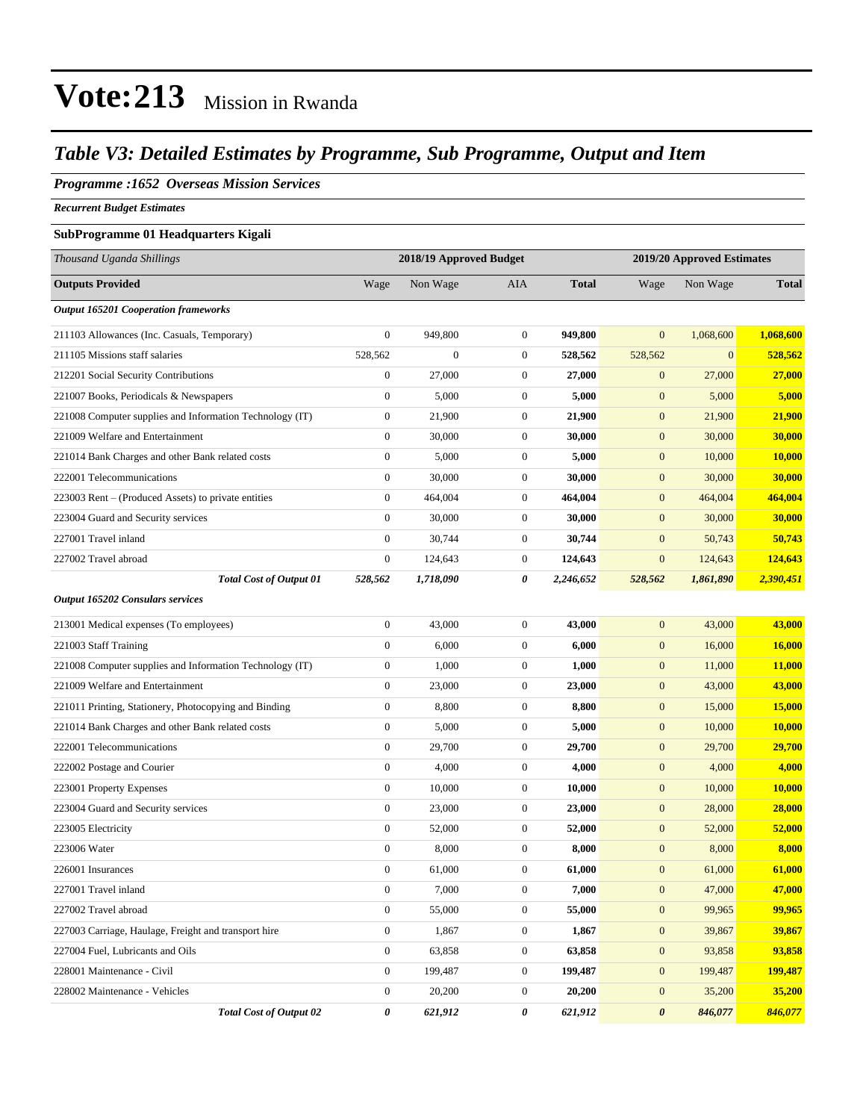### *Table V3: Detailed Estimates by Programme, Sub Programme, Output and Item*

### *Programme :1652 Overseas Mission Services*

*Recurrent Budget Estimates*

#### **SubProgramme 01 Headquarters Kigali**

| Thousand Uganda Shillings                                | 2018/19 Approved Budget |              |                  |              | 2019/20 Approved Estimates |              |              |  |
|----------------------------------------------------------|-------------------------|--------------|------------------|--------------|----------------------------|--------------|--------------|--|
| <b>Outputs Provided</b>                                  | Wage                    | Non Wage     | <b>AIA</b>       | <b>Total</b> | Wage                       | Non Wage     | <b>Total</b> |  |
| <b>Output 165201 Cooperation frameworks</b>              |                         |              |                  |              |                            |              |              |  |
| 211103 Allowances (Inc. Casuals, Temporary)              | $\overline{0}$          | 949.800      | $\mathbf{0}$     | 949,800      | $\overline{0}$             | 1,068,600    | 1,068,600    |  |
| 211105 Missions staff salaries                           | 528,562                 | $\mathbf{0}$ | $\mathbf{0}$     | 528,562      | 528,562                    | $\mathbf{0}$ | 528,562      |  |
| 212201 Social Security Contributions                     | $\boldsymbol{0}$        | 27,000       | $\mathbf{0}$     | 27,000       | $\mathbf{0}$               | 27,000       | 27,000       |  |
| 221007 Books, Periodicals & Newspapers                   | $\mathbf{0}$            | 5,000        | $\mathbf{0}$     | 5,000        | $\mathbf{0}$               | 5,000        | 5,000        |  |
| 221008 Computer supplies and Information Technology (IT) | 0                       | 21,900       | $\mathbf{0}$     | 21,900       | $\boldsymbol{0}$           | 21,900       | 21,900       |  |
| 221009 Welfare and Entertainment                         | $\boldsymbol{0}$        | 30,000       | $\boldsymbol{0}$ | 30,000       | $\boldsymbol{0}$           | 30,000       | 30,000       |  |
| 221014 Bank Charges and other Bank related costs         | $\boldsymbol{0}$        | 5,000        | $\mathbf{0}$     | 5,000        | $\mathbf{0}$               | 10,000       | 10,000       |  |
| 222001 Telecommunications                                | $\boldsymbol{0}$        | 30,000       | $\mathbf{0}$     | 30,000       | $\boldsymbol{0}$           | 30,000       | 30,000       |  |
| 223003 Rent – (Produced Assets) to private entities      | $\mathbf{0}$            | 464,004      | $\mathbf{0}$     | 464,004      | $\mathbf{0}$               | 464,004      | 464,004      |  |
| 223004 Guard and Security services                       | $\boldsymbol{0}$        | 30,000       | $\mathbf{0}$     | 30,000       | $\boldsymbol{0}$           | 30,000       | 30,000       |  |
| 227001 Travel inland                                     | $\boldsymbol{0}$        | 30,744       | $\mathbf{0}$     | 30,744       | $\boldsymbol{0}$           | 50,743       | 50,743       |  |
| 227002 Travel abroad                                     | $\boldsymbol{0}$        | 124,643      | $\mathbf{0}$     | 124,643      | $\mathbf{0}$               | 124,643      | 124,643      |  |
| <b>Total Cost of Output 01</b>                           | 528,562                 | 1,718,090    | 0                | 2,246,652    | 528,562                    | 1,861,890    | 2,390,451    |  |
| Output 165202 Consulars services                         |                         |              |                  |              |                            |              |              |  |
| 213001 Medical expenses (To employees)                   | $\mathbf{0}$            | 43,000       | $\mathbf{0}$     | 43,000       | $\mathbf{0}$               | 43,000       | 43,000       |  |
| 221003 Staff Training                                    | $\boldsymbol{0}$        | 6,000        | $\mathbf{0}$     | 6,000        | $\mathbf{0}$               | 16,000       | 16,000       |  |
| 221008 Computer supplies and Information Technology (IT) | $\boldsymbol{0}$        | 1,000        | $\boldsymbol{0}$ | 1,000        | $\boldsymbol{0}$           | 11,000       | 11,000       |  |
| 221009 Welfare and Entertainment                         | $\mathbf{0}$            | 23,000       | $\boldsymbol{0}$ | 23,000       | $\boldsymbol{0}$           | 43,000       | 43,000       |  |
| 221011 Printing, Stationery, Photocopying and Binding    | $\boldsymbol{0}$        | 8,800        | $\mathbf{0}$     | 8,800        | $\boldsymbol{0}$           | 15,000       | 15,000       |  |
| 221014 Bank Charges and other Bank related costs         | $\boldsymbol{0}$        | 5,000        | $\mathbf{0}$     | 5,000        | $\mathbf{0}$               | 10,000       | 10,000       |  |
| 222001 Telecommunications                                | $\boldsymbol{0}$        | 29,700       | $\mathbf{0}$     | 29,700       | $\mathbf{0}$               | 29,700       | 29,700       |  |
| 222002 Postage and Courier                               | $\boldsymbol{0}$        | 4,000        | $\boldsymbol{0}$ | 4,000        | $\boldsymbol{0}$           | 4,000        | 4,000        |  |
| 223001 Property Expenses                                 | $\mathbf{0}$            | 10,000       | $\boldsymbol{0}$ | 10,000       | $\boldsymbol{0}$           | 10,000       | 10,000       |  |
| 223004 Guard and Security services                       | $\boldsymbol{0}$        | 23,000       | $\boldsymbol{0}$ | 23,000       | $\boldsymbol{0}$           | 28,000       | 28,000       |  |
| 223005 Electricity                                       | $\boldsymbol{0}$        | 52,000       | $\mathbf{0}$     | 52,000       | $\mathbf{0}$               | 52,000       | 52,000       |  |
| 223006 Water                                             | $\mathbf{0}$            | 8,000        | $\boldsymbol{0}$ | 8,000        | $\mathbf{0}$               | 8,000        | 8,000        |  |
| 226001 Insurances                                        | $\boldsymbol{0}$        | 61,000       | $\boldsymbol{0}$ | 61,000       | $\mathbf{0}$               | 61,000       | 61,000       |  |
| 227001 Travel inland                                     | $\boldsymbol{0}$        | 7,000        | $\boldsymbol{0}$ | 7,000        | $\boldsymbol{0}$           | 47,000       | 47,000       |  |
| 227002 Travel abroad                                     | $\boldsymbol{0}$        | 55,000       | $\boldsymbol{0}$ | 55,000       | $\boldsymbol{0}$           | 99,965       | 99,965       |  |
| 227003 Carriage, Haulage, Freight and transport hire     | $\boldsymbol{0}$        | 1,867        | $\boldsymbol{0}$ | 1,867        | $\boldsymbol{0}$           | 39,867       | 39,867       |  |
| 227004 Fuel, Lubricants and Oils                         | $\boldsymbol{0}$        | 63,858       | $\boldsymbol{0}$ | 63,858       | $\mathbf{0}$               | 93,858       | 93,858       |  |
| 228001 Maintenance - Civil                               | $\overline{0}$          | 199,487      | $\boldsymbol{0}$ | 199,487      | $\mathbf{0}$               | 199,487      | 199,487      |  |
| 228002 Maintenance - Vehicles                            | $\boldsymbol{0}$        | 20,200       | $\boldsymbol{0}$ | 20,200       | $\mathbf{0}$               | 35,200       | 35,200       |  |
| <b>Total Cost of Output 02</b>                           | 0                       | 621,912      | 0                | 621,912      | $\boldsymbol{\theta}$      | 846,077      | 846,077      |  |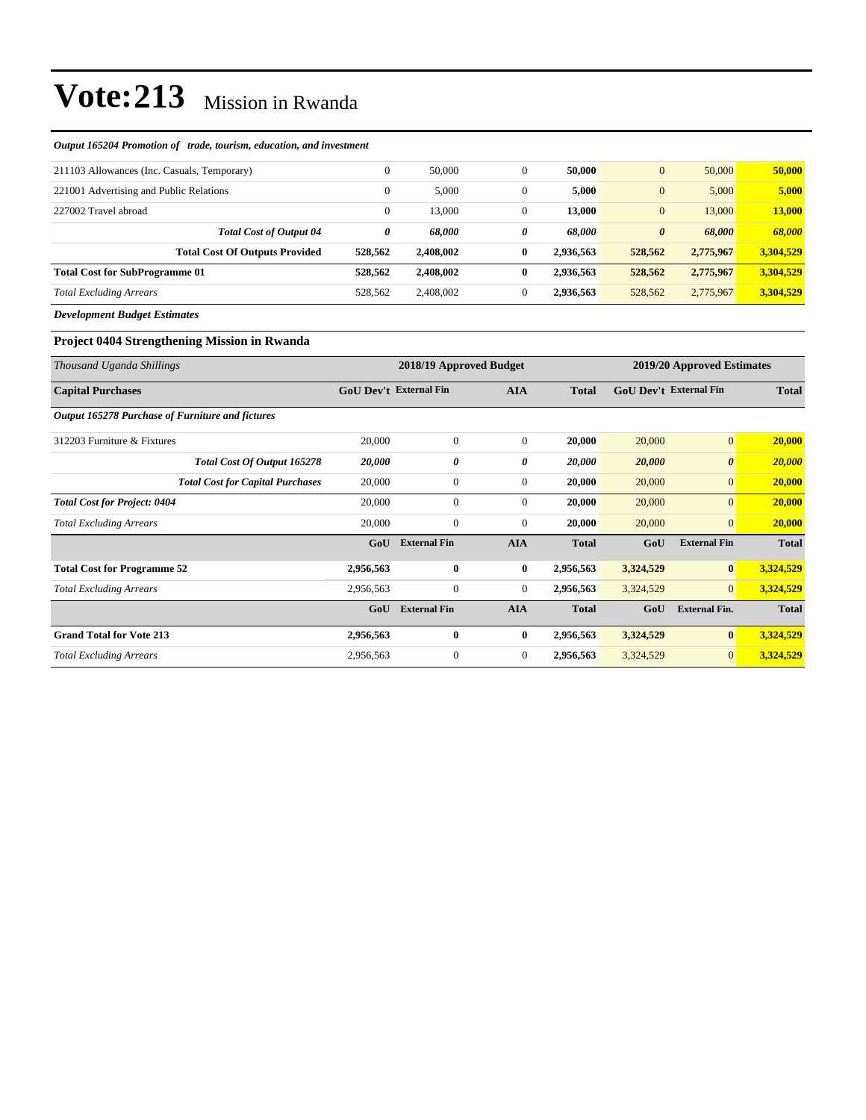#### *Output 165204 Promotion of trade, tourism, education, and investment*

| 211103 Allowances (Inc. Casuals, Temporary) | $\theta$     | 50,000    |          | 50,000    | $\overline{0}$        | 50,000    | 50,000    |
|---------------------------------------------|--------------|-----------|----------|-----------|-----------------------|-----------|-----------|
| 221001 Advertising and Public Relations     | $\Omega$     | 5,000     |          | 5,000     | $\overline{0}$        | 5,000     | 5,000     |
| 227002 Travel abroad                        | $\mathbf{0}$ | 13,000    | 0        | 13,000    | $\overline{0}$        | 13,000    | 13,000    |
| <b>Total Cost of Output 04</b>              | 0            | 68.000    | 0        | 68.000    | $\boldsymbol{\theta}$ | 68.000    | 68,000    |
| <b>Total Cost Of Outputs Provided</b>       | 528,562      | 2.408.002 | $\bf{0}$ | 2.936.563 | 528,562               | 2,775,967 | 3.304.529 |
| <b>Total Cost for SubProgramme 01</b>       | 528,562      | 2.408.002 | 0        | 2.936.563 | 528,562               | 2,775,967 | 3.304.529 |
| <b>Total Excluding Arrears</b>              | 528,562      | 2,408,002 |          | 2,936,563 | 528,562               | 2,775,967 | 3,304,529 |
|                                             |              |           |          |           |                       |           |           |

*Development Budget Estimates*

#### **Project 0404 Strengthening Mission in Rwanda**

| Thousand Uganda Shillings                        |                               | 2018/19 Approved Budget |                | 2019/20 Approved Estimates |                               |                       |              |
|--------------------------------------------------|-------------------------------|-------------------------|----------------|----------------------------|-------------------------------|-----------------------|--------------|
| <b>Capital Purchases</b>                         | <b>GoU Dev't External Fin</b> |                         | <b>AIA</b>     | <b>Total</b>               | <b>GoU Dev't External Fin</b> |                       | <b>Total</b> |
| Output 165278 Purchase of Furniture and fictures |                               |                         |                |                            |                               |                       |              |
| 312203 Furniture & Fixtures                      | 20,000                        | $\overline{0}$          | $\mathbf{0}$   | 20,000                     | 20,000                        | $\mathbf{0}$          | 20,000       |
| Total Cost Of Output 165278                      | 20,000                        | 0                       | 0              | 20,000                     | 20,000                        | $\boldsymbol{\theta}$ | 20,000       |
| <b>Total Cost for Capital Purchases</b>          | 20,000                        | $\mathbf{0}$            | $\mathbf{0}$   | 20,000                     | 20,000                        | $\overline{0}$        | 20,000       |
| <b>Total Cost for Project: 0404</b>              | 20,000                        | $\boldsymbol{0}$        | $\mathbf{0}$   | 20,000                     | 20,000                        | $\overline{0}$        | 20,000       |
| <b>Total Excluding Arrears</b>                   | 20,000                        | $\boldsymbol{0}$        | $\mathbf{0}$   | 20,000                     | 20,000                        | $\overline{0}$        | 20,000       |
|                                                  | GoU                           | <b>External Fin</b>     | <b>AIA</b>     | <b>Total</b>               | GoU                           | <b>External Fin</b>   | <b>Total</b> |
| <b>Total Cost for Programme 52</b>               | 2,956,563                     | $\bf{0}$                | $\bf{0}$       | 2,956,563                  | 3,324,529                     | $\bf{0}$              | 3,324,529    |
| <b>Total Excluding Arrears</b>                   | 2,956,563                     | $\mathbf{0}$            | $\overline{0}$ | 2,956,563                  | 3,324,529                     | $\overline{0}$        | 3,324,529    |
|                                                  | GoU                           | <b>External Fin</b>     | <b>AIA</b>     | <b>Total</b>               | GoU                           | <b>External Fin.</b>  | <b>Total</b> |
| <b>Grand Total for Vote 213</b>                  | 2,956,563                     | 0                       | $\bf{0}$       | 2,956,563                  | 3,324,529                     | $\bf{0}$              | 3,324,529    |
| <b>Total Excluding Arrears</b>                   | 2,956,563                     | $\boldsymbol{0}$        | $\mathbf{0}$   | 2,956,563                  | 3,324,529                     | $\overline{0}$        | 3,324,529    |